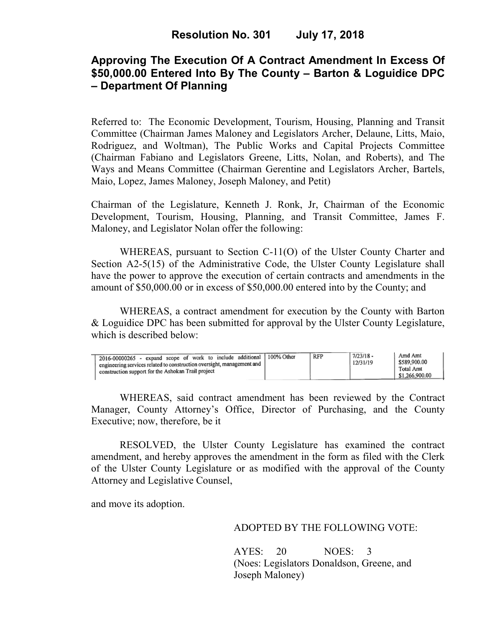# **Approving The Execution Of A Contract Amendment In Excess Of \$50,000.00 Entered Into By The County – Barton & Loguidice DPC – Department Of Planning**

Referred to: The Economic Development, Tourism, Housing, Planning and Transit Committee (Chairman James Maloney and Legislators Archer, Delaune, Litts, Maio, Rodriguez, and Woltman), The Public Works and Capital Projects Committee (Chairman Fabiano and Legislators Greene, Litts, Nolan, and Roberts), and The Ways and Means Committee (Chairman Gerentine and Legislators Archer, Bartels, Maio, Lopez, James Maloney, Joseph Maloney, and Petit)

Chairman of the Legislature, Kenneth J. Ronk, Jr, Chairman of the Economic Development, Tourism, Housing, Planning, and Transit Committee, James F. Maloney, and Legislator Nolan offer the following:

WHEREAS, pursuant to Section C-11(O) of the Ulster County Charter and Section A2-5(15) of the Administrative Code, the Ulster County Legislature shall have the power to approve the execution of certain contracts and amendments in the amount of \$50,000.00 or in excess of \$50,000.00 entered into by the County; and

 WHEREAS, a contract amendment for execution by the County with Barton & Loguidice DPC has been submitted for approval by the Ulster County Legislature, which is described below:

| 2016-00000265 - expand scope of work to include additional 100% Other<br>$\frac{1}{2}$ engineering services related to construction oversight, management and $\frac{1}{2}$<br>construction support for the Ashokan Trail project |  | RFP | $7/23/18 -$<br>12/31/19 | Amd Amt<br>\$589,900.00<br>Total Amt<br>\$1,266,900.00 |
|-----------------------------------------------------------------------------------------------------------------------------------------------------------------------------------------------------------------------------------|--|-----|-------------------------|--------------------------------------------------------|
|-----------------------------------------------------------------------------------------------------------------------------------------------------------------------------------------------------------------------------------|--|-----|-------------------------|--------------------------------------------------------|

WHEREAS, said contract amendment has been reviewed by the Contract Manager, County Attorney's Office, Director of Purchasing, and the County Executive; now, therefore, be it

RESOLVED, the Ulster County Legislature has examined the contract amendment, and hereby approves the amendment in the form as filed with the Clerk of the Ulster County Legislature or as modified with the approval of the County Attorney and Legislative Counsel,

and move its adoption.

### ADOPTED BY THE FOLLOWING VOTE:

AYES: 20 NOES: 3 (Noes: Legislators Donaldson, Greene, and Joseph Maloney)